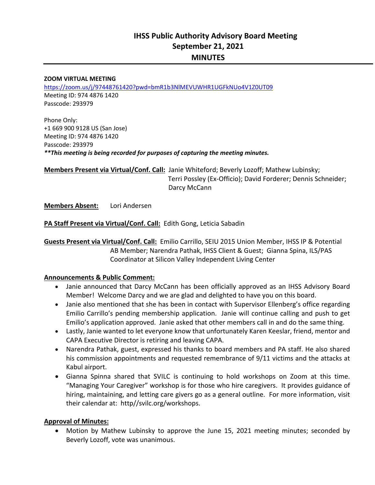# **IHSS Public Authority Advisory Board Meeting September 21, 2021 MINUTES**

#### **ZOOM VIRTUAL MEETING**

https://zoom.us/j/97448761420?pwd=bmR1b3NlMEVUWHR1UGFkNUo4V1Z0UT09 Meeting ID: 974 4876 1420 Passcode: 293979

Phone Only: +1 669 900 9128 US (San Jose) Meeting ID: 974 4876 1420 Passcode: 293979 *\*\*This meeting is being recorded for purposes of capturing the meeting minutes.* 

**Members Present via Virtual/Conf. Call:** Janie Whiteford; Beverly Lozoff; Mathew Lubinsky; L Terri Possley (Ex‐Officio); David Forderer; Dennis Schneider; Darcy McCann

**Members Absent:**  Lori Andersen

**PA Staff Present via Virtual/Conf. Call:** Edith Gong, Leticia Sabadin

**Guests Present via Virtual/Conf. Call:** Emilio Carrillo, SEIU 2015 Union Member, IHSS IP & Potential AB Member; Narendra Pathak, IHSS Client & Guest; Gianna Spina, ILS/PAS Coordinator at Silicon Valley Independent Living Center

#### **Announcements & Public Comment:**

- Janie announced that Darcy McCann has been officially approved as an IHSS Advisory Board Member! Welcome Darcy and we are glad and delighted to have you on this board.
- Janie also mentioned that she has been in contact with Supervisor Ellenberg's office regarding Emilio Carrillo's pending membership application. Janie will continue calling and push to get Emilio's application approved. Janie asked that other members call in and do the same thing.
- Lastly, Janie wanted to let everyone know that unfortunately Karen Keeslar, friend, mentor and CAPA Executive Director is retiring and leaving CAPA.
- Narendra Pathak, guest, expressed his thanks to board members and PA staff. He also shared his commission appointments and requested remembrance of 9/11 victims and the attacks at Kabul airport.
- Gianna Spinna shared that SVILC is continuing to hold workshops on Zoom at this time. "Managing Your Caregiver" workshop is for those who hire caregivers. It provides guidance of hiring, maintaining, and letting care givers go as a general outline. For more information, visit their calendar at: http//svilc.org/workshops.

#### **Approval of Minutes:**

 Motion by Mathew Lubinsky to approve the June 15, 2021 meeting minutes; seconded by Beverly Lozoff, vote was unanimous.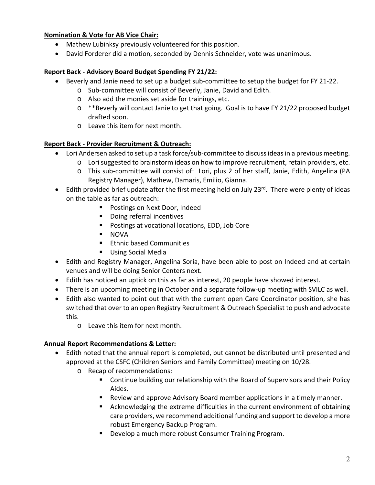### **Nomination & Vote for AB Vice Chair:**

- Mathew Lubinksy previously volunteered for this position.
- David Forderer did a motion, seconded by Dennis Schneider, vote was unanimous.

### **Report Back ‐ Advisory Board Budget Spending FY 21/22:**

- Beverly and Janie need to set up a budget sub-committee to setup the budget for FY 21-22.
	- o Sub‐committee will consist of Beverly, Janie, David and Edith.
	- o Also add the monies set aside for trainings, etc.
	- $\circ$  \*\*Beverly will contact Janie to get that going. Goal is to have FY 21/22 proposed budget drafted soon.
	- o Leave this item for next month.

### **Report Back ‐ Provider Recruitment & Outreach:**

- Lori Andersen asked to set up a task force/sub-committee to discuss ideas in a previous meeting.
	- o Lori suggested to brainstorm ideas on how to improve recruitment, retain providers, etc.
	- o This sub‐committee will consist of: Lori, plus 2 of her staff, Janie, Edith, Angelina (PA Registry Manager), Mathew, Damaris, Emilio, Gianna.
- $\bullet$  Edith provided brief update after the first meeting held on July 23<sup>rd</sup>. There were plenty of ideas on the table as far as outreach:
	- **Postings on Next Door, Indeed**
	- Doing referral incentives
	- **Postings at vocational locations, EDD, Job Core**
	- NOVA
	- **Ethnic based Communities**
	- **Using Social Media**
- Edith and Registry Manager, Angelina Soria, have been able to post on Indeed and at certain venues and will be doing Senior Centers next.
- Edith has noticed an uptick on this as far as interest, 20 people have showed interest.
- There is an upcoming meeting in October and a separate follow-up meeting with SVILC as well.
- Edith also wanted to point out that with the current open Care Coordinator position, she has switched that over to an open Registry Recruitment & Outreach Specialist to push and advocate this.
	- o Leave this item for next month.

### **Annual Report Recommendations & Letter:**

- Edith noted that the annual report is completed, but cannot be distributed until presented and approved at the CSFC (Children Seniors and Family Committee) meeting on 10/28.
	- o Recap of recommendations:
		- Continue building our relationship with the Board of Supervisors and their Policy Aides.
		- Review and approve Advisory Board member applications in a timely manner.
		- Acknowledging the extreme difficulties in the current environment of obtaining care providers, we recommend additional funding and support to develop a more robust Emergency Backup Program.
		- **•** Develop a much more robust Consumer Training Program.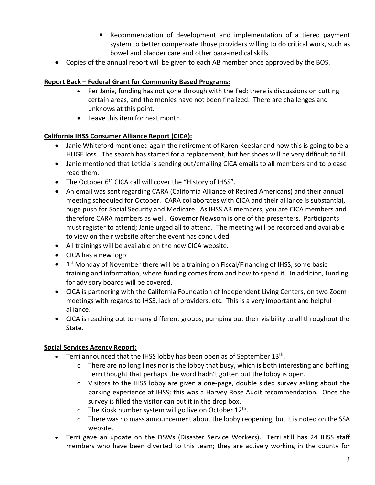- Recommendation of development and implementation of a tiered payment system to better compensate those providers willing to do critical work, such as bowel and bladder care and other para‐medical skills.
- Copies of the annual report will be given to each AB member once approved by the BOS.

### **Report Back – Federal Grant for Community Based Programs:**

- Per Janie, funding has not gone through with the Fed; there is discussions on cutting certain areas, and the monies have not been finalized. There are challenges and unknows at this point.
- Leave this item for next month.

### **California IHSS Consumer Alliance Report (CICA):**

- Janie Whiteford mentioned again the retirement of Karen Keeslar and how this is going to be a HUGE loss. The search has started for a replacement, but her shoes will be very difficult to fill.
- Janie mentioned that Leticia is sending out/emailing CICA emails to all members and to please read them.
- The October  $6<sup>th</sup>$  CICA call will cover the "History of IHSS".
- An email was sent regarding CARA (California Alliance of Retired Americans) and their annual meeting scheduled for October. CARA collaborates with CICA and their alliance is substantial, huge push for Social Security and Medicare. As IHSS AB members, you are CICA members and therefore CARA members as well. Governor Newsom is one of the presenters. Participants must register to attend; Janie urged all to attend. The meeting will be recorded and available to view on their website after the event has concluded.
- All trainings will be available on the new CICA website.
- CICA has a new logo.
- $\bullet$  1<sup>st</sup> Monday of November there will be a training on Fiscal/Financing of IHSS, some basic training and information, where funding comes from and how to spend it. In addition, funding for advisory boards will be covered.
- CICA is partnering with the California Foundation of Independent Living Centers, on two Zoom meetings with regards to IHSS, lack of providers, etc. This is a very important and helpful alliance.
- CICA is reaching out to many different groups, pumping out their visibility to all throughout the State.

### **Social Services Agency Report:**

- **•** Terri announced that the IHSS lobby has been open as of September  $13<sup>th</sup>$ .
	- $\circ$  There are no long lines nor is the lobby that busy, which is both interesting and baffling; Terri thought that perhaps the word hadn't gotten out the lobby is open.
	- o Visitors to the IHSS lobby are given a one‐page, double sided survey asking about the parking experience at IHSS; this was a Harvey Rose Audit recommendation. Once the survey is filled the visitor can put it in the drop box.
	- $\circ$  The Kiosk number system will go live on October 12<sup>th</sup>.
	- o There was no mass announcement about the lobby reopening, but it is noted on the SSA website.
- Terri gave an update on the DSWs (Disaster Service Workers). Terri still has 24 IHSS staff members who have been diverted to this team; they are actively working in the county for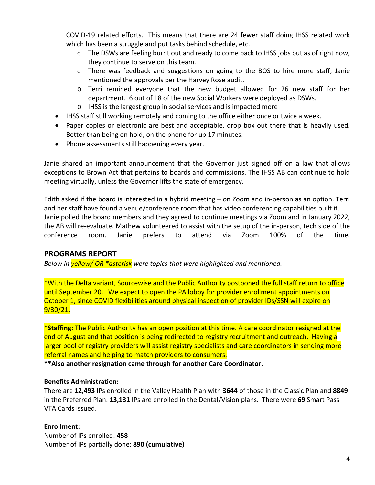COVID-19 related efforts. This means that there are 24 fewer staff doing IHSS related work which has been a struggle and put tasks behind schedule, etc.

- $\circ$  The DSWs are feeling burnt out and ready to come back to IHSS jobs but as of right now, they continue to serve on this team.
- $\circ$  There was feedback and suggestions on going to the BOS to hire more staff; Janie mentioned the approvals per the Harvey Rose audit.
- o Terri remined everyone that the new budget allowed for 26 new staff for her department. 6 out of 18 of the new Social Workers were deployed as DSWs.
- o IHSS is the largest group in social services and is impacted more
- IHSS staff still working remotely and coming to the office either once or twice a week.
- Paper copies or electronic are best and acceptable, drop box out there that is heavily used. Better than being on hold, on the phone for up 17 minutes.
- Phone assessments still happening every year.

Janie shared an important announcement that the Governor just signed off on a law that allows exceptions to Brown Act that pertains to boards and commissions. The IHSS AB can continue to hold meeting virtually, unless the Governor lifts the state of emergency.

Edith asked if the board is interested in a hybrid meeting – on Zoom and in‐person as an option. Terri and her staff have found a venue/conference room that has video conferencing capabilities built it. Janie polled the board members and they agreed to continue meetings via Zoom and in January 2022, the AB will re‐evaluate. Mathew volunteered to assist with the setup of the in‐person, tech side of the conference room. Janie prefers to attend via Zoom 100% of the time.

### **PROGRAMS REPORT**

*Below in yellow/ OR \*asterisk were topics that were highlighted and mentioned.* 

\*With the Delta variant, Sourcewise and the Public Authority postponed the full staff return to office until September 20. We expect to open the PA lobby for provider enrollment appointments on October 1, since COVID flexibilities around physical inspection of provider IDs/SSN will expire on 9/30/21.

**\*Staffing:** The Public Authority has an open position at this time. A care coordinator resigned at the end of August and that position is being redirected to registry recruitment and outreach. Having a larger pool of registry providers will assist registry specialists and care coordinators in sending more referral names and helping to match providers to consumers.

**\*\*Also another resignation came through for another Care Coordinator.** 

#### **Benefits Administration:**

There are **12,493** IPs enrolled in the Valley Health Plan with **3644** of those in the Classic Plan and **8849**  in the Preferred Plan. **13,131** IPs are enrolled in the Dental/Vision plans. There were **69** Smart Pass VTA Cards issued.

#### **Enrollment:**

Number of IPs enrolled: **458**  Number of IPs partially done: **890 (cumulative)**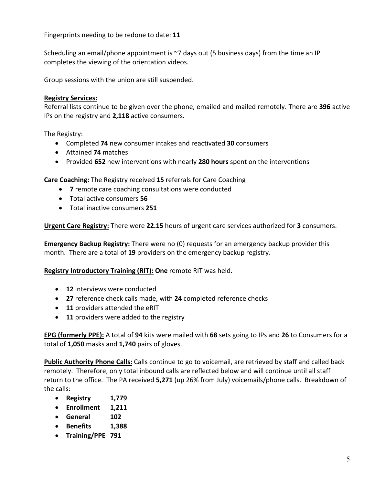Fingerprints needing to be redone to date: **11** 

Scheduling an email/phone appointment is ~7 days out (5 business days) from the time an IP completes the viewing of the orientation videos.

Group sessions with the union are still suspended.

#### **Registry Services:**

Referral lists continue to be given over the phone, emailed and mailed remotely. There are **396** active IPs on the registry and **2,118** active consumers.

The Registry:

- Completed **74** new consumer intakes and reactivated **30** consumers
- Attained **74** matches
- Provided **652** new interventions with nearly **280 hours** spent on the interventions

**Care Coaching:** The Registry received **15** referrals for Care Coaching

- **7** remote care coaching consultations were conducted
- Total active consumers **56**
- Total inactive consumers **251**

**Urgent Care Registry:** There were **22.15** hours of urgent care services authorized for **3** consumers.

**Emergency Backup Registry:** There were no (0) requests for an emergency backup provider this month. There are a total of **19** providers on the emergency backup registry.

**Registry Introductory Training (RIT): One** remote RIT was held.

- **12** interviews were conducted
- **27** reference check calls made, with **24** completed reference checks
- **11** providers attended the eRIT
- **11** providers were added to the registry

**EPG (formerly PPE):** A total of **94** kits were mailed with **68** sets going to IPs and **26** to Consumers for a total of **1,050** masks and **1,740** pairs of gloves.

**Public Authority Phone Calls:** Calls continue to go to voicemail, are retrieved by staff and called back remotely. Therefore, only total inbound calls are reflected below and will continue until all staff return to the office. The PA received **5,271** (up 26% from July) voicemails/phone calls. Breakdown of the calls:

- **Registry 1,779**
- **Enrollment 1,211**
- **General 102**
- **Benefits 1,388**
- **Training/PPE 791**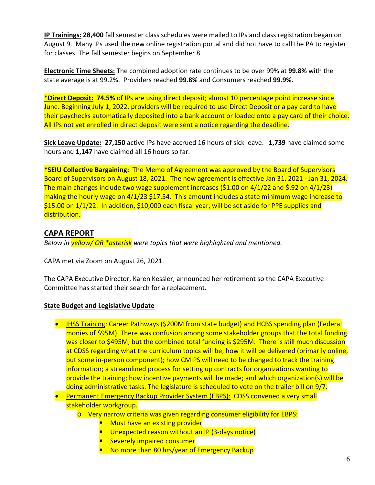**IP Trainings: 28,400** fall semester class schedules were mailed to IPs and class registration began on August 9. Many IPs used the new online registration portal and did not have to call the PA to register for classes. The fall semester begins on September 8.

**Electronic Time Sheets:** The combined adoption rate continues to be over 99% at **99.8%** with the state average is at 99.2%. Providers reached **99.8%** and Consumers reached **99.9%.**

**\*Direct Deposit: 74.5%** of IPs are using direct deposit; almost 10 percentage point increase since June. Beginning July 1, 2022, providers will be required to use Direct Deposit or a pay card to have their paychecks automatically deposited into a bank account or loaded onto a pay card of their choice. All IPs not yet enrolled in direct deposit were sent a notice regarding the deadline.

**Sick Leave Update: 27,150** active IPs have accrued 16 hours of sick leave. **1,739** have claimed some hours and **1,147** have claimed all 16 hours so far.

**\*SEIU Collective Bargaining:** The Memo of Agreement was approved by the Board of Supervisors Board of Supervisors on August 18, 2021. The new agreement is effective Jan 31, 2021 ‐ Jan 31, 2024. The main changes include two wage supplement increases (\$1.00 on 4/1/22 and \$.92 on 4/1/23) making the hourly wage on 4/1/23 \$17.54. This amount includes a state minimum wage increase to \$15.00 on 1/1/22. In addition, \$10,000 each fiscal year, will be set aside for PPE supplies and distribution.

### **CAPA REPORT**

*Below in yellow/ OR \*asterisk were topics that were highlighted and mentioned.* 

CAPA met via Zoom on August 26, 2021.

The CAPA Executive Director, Karen Kessler, announced her retirement so the CAPA Executive Committee has started their search for a replacement.

#### **State Budget and Legislative Update**

- IHSS Training: Career Pathways (\$200M from state budget) and HCBS spending plan (Federal monies of \$95M). There was confusion among some stakeholder groups that the total funding was closer to \$495M, but the combined total funding is \$295M. There is still much discussion at CDSS regarding what the curriculum topics will be; how it will be delivered (primarily online, but some in‐person component); how CMIPS will need to be changed to track the training information; a streamlined process for setting up contracts for organizations wanting to provide the training; how incentive payments will be made; and which organization(s) will be doing administrative tasks. The legislature is scheduled to vote on the trailer bill on 9/7.
- Permanent Emergency Backup Provider System (EBPS): CDSS convened a very small stakeholder workgroup.
	- o Very narrow criteria was given regarding consumer eligibility for EBPS:
		- Must have an existing provider
		- Unexpected reason without an IP (3-days notice)
		- **Severely impaired consumer**
		- No more than 80 hrs/year of Emergency Backup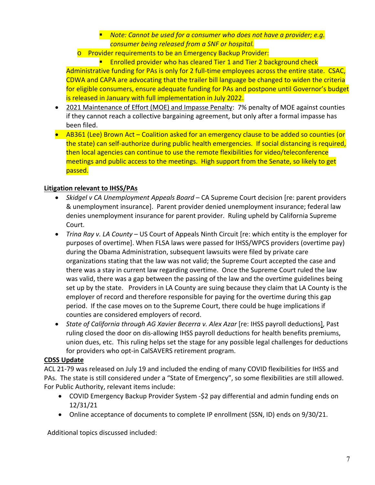### ■ *Note: Cannot be used for a consumer who does not have a provider; e.g. consumer being released from a SNF or hospital.*

o Provider requirements to be an Emergency Backup Provider:

**Enrolled provider who has cleared Tier 1 and Tier 2 background check** Administrative funding for PAs is only for 2 full-time employees across the entire state. CSAC, CDWA and CAPA are advocating that the trailer bill language be changed to widen the criteria for eligible consumers, ensure adequate funding for PAs and postpone until Governor's budget is released in January with full implementation in July 2022.

- 2021 Maintenance of Effort (MOE) and Impasse Penalty: 7% penalty of MOE against counties if they cannot reach a collective bargaining agreement, but only after a formal impasse has been filed.
- AB361 (Lee) Brown Act Coalition asked for an emergency clause to be added so counties (or the state) can self‐authorize during public health emergencies. If social distancing is required, then local agencies can continue to use the remote flexibilities for video/teleconference meetings and public access to the meetings. High support from the Senate, so likely to get passed.

### **Litigation relevant to IHSS/PAs**

- *Skidgel v CA Unemployment Appeals Board* CA Supreme Court decision [re: parent providers & unemployment insurance]. Parent provider denied unemployment insurance; federal law denies unemployment insurance for parent provider. Ruling upheld by California Supreme Court.
- *Trina Ray v. LA County* US Court of Appeals Ninth Circuit [re: which entity is the employer for purposes of overtime]. When FLSA laws were passed for IHSS/WPCS providers (overtime pay) during the Obama Administration, subsequent lawsuits were filed by private care organizations stating that the law was not valid; the Supreme Court accepted the case and there was a stay in current law regarding overtime. Once the Supreme Court ruled the law was valid, there was a gap between the passing of the law and the overtime guidelines being set up by the state. Providers in LA County are suing because they claim that LA County is the employer of record and therefore responsible for paying for the overtime during this gap period. If the case moves on to the Supreme Court, there could be huge implications if counties are considered employers of record.
- *State of California through AG Xavier Becerra v. Alex Azar* [re: IHSS payroll deductions], Past ruling closed the door on dis‐allowing IHSS payroll deductions for health benefits premiums, union dues, etc. This ruling helps set the stage for any possible legal challenges for deductions for providers who opt‐in CalSAVERS retirement program.

#### **CDSS Update**

ACL 21‐79 was released on July 19 and included the ending of many COVID flexibilities for IHSS and PAs. The state is still considered under a "State of Emergency", so some flexibilities are still allowed. For Public Authority, relevant items include:

- COVID Emergency Backup Provider System ‐\$2 pay differential and admin funding ends on 12/31/21
- Online acceptance of documents to complete IP enrollment (SSN, ID) ends on 9/30/21.

Additional topics discussed included: